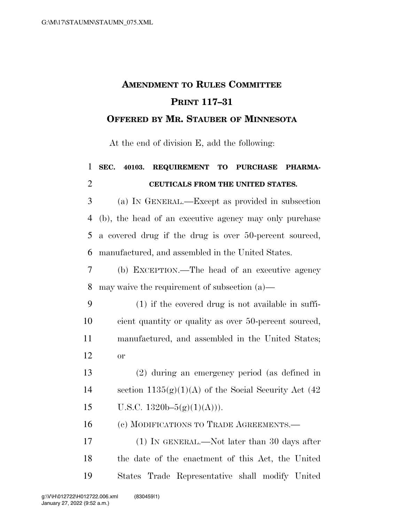## **AMENDMENT TO RULES COMMITTEE PRINT 117–31 OFFERED BY MR. STAUBER OF MINNESOTA**

At the end of division E, add the following:

## **SEC. 40103. REQUIREMENT TO PURCHASE PHARMA-CEUTICALS FROM THE UNITED STATES.**

 (a) IN GENERAL.—Except as provided in subsection (b), the head of an executive agency may only purchase a covered drug if the drug is over 50-percent sourced, manufactured, and assembled in the United States.

 (b) EXCEPTION.—The head of an executive agency may waive the requirement of subsection (a)—

- (1) if the covered drug is not available in suffi- cient quantity or quality as over 50-percent sourced, manufactured, and assembled in the United States; or
- (2) during an emergency period (as defined in 14 section  $1135(g)(1)(A)$  of the Social Security Act (42) 15 U.S.C.  $1320b-5(g)(1)(A))$ .

(c) MODIFICATIONS TO TRADE AGREEMENTS.—

 (1) IN GENERAL.—Not later than 30 days after the date of the enactment of this Act, the United States Trade Representative shall modify United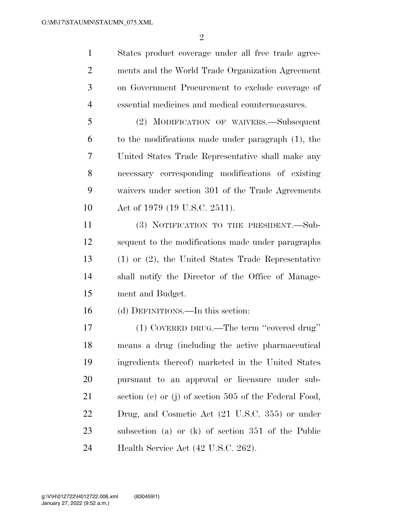$\mathfrak{D}$ 

 States product coverage under all free trade agree- ments and the World Trade Organization Agreement on Government Procurement to exclude coverage of essential medicines and medical countermeasures.

 (2) MODIFICATION OF WAIVERS.—Subsequent to the modifications made under paragraph (1), the United States Trade Representative shall make any necessary corresponding modifications of existing waivers under section 301 of the Trade Agreements Act of 1979 (19 U.S.C. 2511).

 (3) NOTIFICATION TO THE PRESIDENT.—Sub- sequent to the modifications made under paragraphs (1) or (2), the United States Trade Representative shall notify the Director of the Office of Manage-ment and Budget.

(d) DEFINITIONS.—In this section:

 (1) COVERED DRUG.—The term ''covered drug'' means a drug (including the active pharmaceutical ingredients thereof) marketed in the United States pursuant to an approval or licensure under sub- section (c) or (j) of section 505 of the Federal Food, Drug, and Cosmetic Act (21 U.S.C. 355) or under subsection (a) or (k) of section 351 of the Public Health Service Act (42 U.S.C. 262).